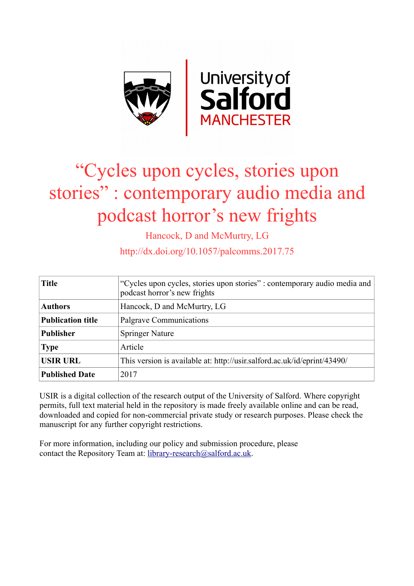

# "Cycles upon cycles, stories upon stories" : contemporary audio media and podcast horror's new frights

Hancock, D and McMurtry, LG

http://dx.doi.org/10.1057/palcomms.2017.75

| <b>Title</b>             | "Cycles upon cycles, stories upon stories": contemporary audio media and<br>podcast horror's new frights |
|--------------------------|----------------------------------------------------------------------------------------------------------|
| <b>Authors</b>           | Hancock, D and McMurtry, LG                                                                              |
| <b>Publication title</b> | Palgrave Communications                                                                                  |
| <b>Publisher</b>         | Springer Nature                                                                                          |
| <b>Type</b>              | Article                                                                                                  |
| <b>USIR URL</b>          | This version is available at: http://usir.salford.ac.uk/id/eprint/43490/                                 |
| <b>Published Date</b>    | 2017                                                                                                     |

USIR is a digital collection of the research output of the University of Salford. Where copyright permits, full text material held in the repository is made freely available online and can be read, downloaded and copied for non-commercial private study or research purposes. Please check the manuscript for any further copyright restrictions.

For more information, including our policy and submission procedure, please contact the Repository Team at: [library-research@salford.ac.uk.](mailto:library-research@salford.ac.uk)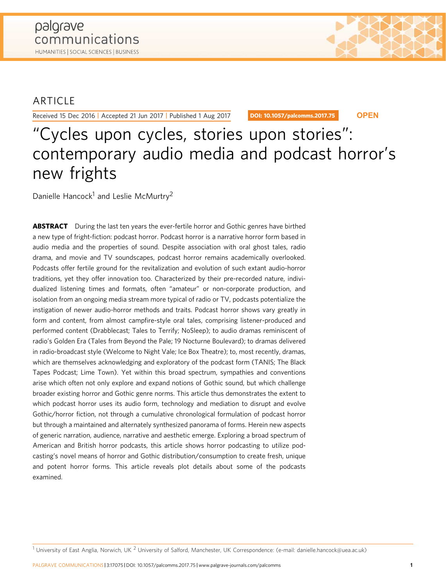### **ARTICLE**

Received 15 Dec 2016 | Accepted 21 Jun 2017 | Published 1 Aug 2017

DOI: [10.1057/palcomms.2017.75](http://dx.doi.org/10.1057/palcomms.2017.75) **OPEN**

## "Cycles upon cycles, stories upon stories": contemporary audio media and podcast horror's new frights

Danielle Hancock<sup>1</sup> and Leslie McMurtry<sup>2</sup>

**ABSTRACT** During the last ten years the ever-fertile horror and Gothic genres have birthed a new type of fright-fiction: podcast horror. Podcast horror is a narrative horror form based in audio media and the properties of sound. Despite association with oral ghost tales, radio drama, and movie and TV soundscapes, podcast horror remains academically overlooked. Podcasts offer fertile ground for the revitalization and evolution of such extant audio-horror traditions, yet they offer innovation too. Characterized by their pre-recorded nature, individualized listening times and formats, often "amateur" or non-corporate production, and isolation from an ongoing media stream more typical of radio or TV, podcasts potentialize the instigation of newer audio-horror methods and traits. Podcast horror shows vary greatly in form and content, from almost campfire-style oral tales, comprising listener-produced and performed content (Drabblecast; Tales to Terrify; NoSleep); to audio dramas reminiscent of radio's Golden Era (Tales from Beyond the Pale; 19 Nocturne Boulevard); to dramas delivered in radio-broadcast style (Welcome to Night Vale; Ice Box Theatre); to, most recently, dramas, which are themselves acknowledging and exploratory of the podcast form (TANIS; The Black Tapes Podcast; Lime Town). Yet within this broad spectrum, sympathies and conventions arise which often not only explore and expand notions of Gothic sound, but which challenge broader existing horror and Gothic genre norms. This article thus demonstrates the extent to which podcast horror uses its audio form, technology and mediation to disrupt and evolve Gothic/horror fiction, not through a cumulative chronological formulation of podcast horror but through a maintained and alternately synthesized panorama of forms. Herein new aspects of generic narration, audience, narrative and aesthetic emerge. Exploring a broad spectrum of American and British horror podcasts, this article shows horror podcasting to utilize podcasting's novel means of horror and Gothic distribution/consumption to create fresh, unique and potent horror forms. This article reveals plot details about some of the podcasts examined.

<sup>1</sup> University of East Anglia, Norwich, UK <sup>2</sup> University of Salford, Manchester, UK Correspondence: (e-mail: [danielle.hancock@uea.ac.uk\)](mailto:danielle.hancock@uea.ac.uk)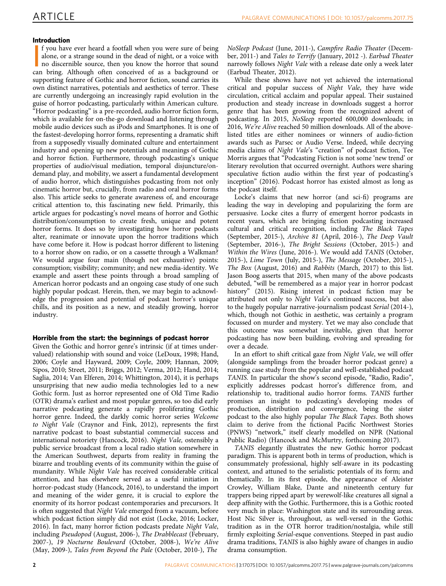### Introduction

If you have ever heard a footfall when you were sure of being<br>alone, or a strange sound in the dead of night, or a voice with<br>no discernible source, then you know the horror that sound<br>can bring. Although often conceived o f you have ever heard a footfall when you were sure of being alone, or a strange sound in the dead of night, or a voice with no discernible source, then you know the horror that sound supporting feature of Gothic and horror fiction, sound carries its own distinct narratives, potentials and aesthetics of terror. These are currently undergoing an increasingly rapid evolution in the guise of horror podcasting, particularly within American culture. "Horror podcasting" is a pre-recorded, audio horror fiction form, which is available for on-the-go download and listening through mobile audio devices such as iPods and Smartphones. It is one of the fastest-developing horror forms, representing a dramatic shift from a supposedly visually dominated culture and entertainment industry and opening up new potentials and meanings of Gothic and horror fiction. Furthermore, through podcasting's unique properties of audio/visual mediation, temporal disjuncture/ondemand play, and mobility, we assert a fundamental development of audio horror, which distinguishes podcasting from not only cinematic horror but, crucially, from radio and oral horror forms also. This article seeks to generate awareness of, and encourage critical attention to, this fascinating new field. Primarily, this article argues for podcasting's novel means of horror and Gothic distribution/consumption to create fresh, unique and potent horror forms. It does so by investigating how horror podcasts alter, reanimate or innovate upon the horror traditions which have come before it. How is podcast horror different to listening to a horror show on radio, or on a cassette through a Walkman? We would argue four main (though not exhaustive) points: consumption; visibility; community; and new media-identity. We example and assert these points through a broad sampling of American horror podcasts and an ongoing case study of one such highly popular podcast. Herein, then, we may begin to acknowledge the progression and potential of podcast horror's unique chills, and its position as a new, and steadily growing, horror industry.

#### Horrible from the start: the beginnings of podcast horror

Given the Gothic and horror genre's intrinsic (if at times undervalued) relationship with sound and voice [\(LeDoux, 1998](#page-8-0); [Hand,](#page-8-0) [2006; Coyle and Hayward, 2009](#page-8-0); [Coyle, 2009; Hannan, 2009;](#page-8-0) [Sipos, 2010; Street, 2011;](#page-8-0) [Briggs, 2012;](#page-7-0) [Verma, 2012](#page-8-0); [Hand, 2014;](#page-8-0) [Saglia, 2014](#page-8-0); [Van Elferen, 2014; Whittington, 2014\)](#page-8-0), it is perhaps unsurprising that new audio media technologies led to a new Gothic form. Just as horror represented one of Old Time Radio (OTR) drama's earliest and most popular genres, so too did early narrative podcasting generate a rapidly proliferating Gothic horror genre. Indeed, the darkly comic horror series Welcome to Night Vale [\(Craynor and Fink, 2012\)](#page-8-0), represents the first narrative podcast to boast substantial commercial success and international notoriety [\(Hancock, 2016\)](#page-8-0). Night Vale, ostensibly a public service broadcast from a local radio station somewhere in the American Southwest, departs from reality in framing the bizarre and troubling events of its community within the guise of mundanity. While Night Vale has received considerable critical attention, and has elsewhere served as a useful initiation in horror-podcast study [\(Hancock, 2016\)](#page-8-0), to understand the import and meaning of the wider genre, it is crucial to explore the enormity of its horror podcast contemporaries and precursors. It is often suggested that Night Vale emerged from a vacuum, before which podcast fiction simply did not exist ([Locke, 2016; Locker,](#page-8-0) [2016\)](#page-8-0). In fact, many horror fiction podcasts predate Night Vale, including Pseudopod (August, 2006-), The Drabblecast (February, 2007-), 19 Nocturne Boulevard (October, 2008-), We're Alive (May, 2009-), Tales from Beyond the Pale (October, 2010-), The

NoSleep Podcast (June, 2011-), Campfire Radio Theater (December, 2011-) and Tales to Terrify (January, 2012 -). Earbud Theater narrowly follows Night Vale with a release date only a week later ([Earbud Theater, 2012](#page-8-0)).

While these shows have not yet achieved the international critical and popular success of Night Vale, they have wide circulation, critical acclaim and popular appeal. Their sustained production and steady increase in downloads suggest a horror genre that has been growing from the recognized advent of podcasting. In 2015, NoSleep reported 600,000 downloads; in 2016, We're Alive reached 50 million downloads. All of the abovelisted titles are either nominees or winners of audio-fiction awards such as Parsec or Audio Verse. Indeed, while decrying media claims of Night Vale's "creation" of podcast fiction, Tee Morris argues that "Podcasting Fiction is not some 'new trend' or literary revolution that occurred overnight. Authors were sharing speculative fiction audio within the first year of podcasting's inception" ([2016\)](#page-8-0). Podcast horror has existed almost as long as the podcast itself.

Locke's claims that new horror (and sci-fi) programs are leading the way in developing and popularizing the form are persuasive. Locke cites a flurry of emergent horror podcasts in recent years, which are bringing fiction podcasting increased cultural and critical recognition, including The Black Tapes (September, 2015-), Archive 81 (April, 2016-), The Deep Vault (September, 2016-), The Bright Sessions (October, 2015-) and Within the Wires (June, 2016-). We would add TANIS (October, 2015-), Lime Town (July, 2015-), The Message (October, 2015-), The Box (August, 2016) and Rabbits (March, 2017) to this list. Jason Boog asserts that 2015, when many of the above podcasts debuted, "will be remembered as a major year in horror podcast history" ([2015\)](#page-7-0). Rising interest in podcast fiction may be attributed not only to Night Vale's continued success, but also to the hugely popular narrative-journalism podcast Serial (2014-), which, though not Gothic in aesthetic, was certainly a program focussed on murder and mystery. Yet we may also conclude that this outcome was somewhat inevitable, given that horror podcasting has now been building, evolving and spreading for over a decade.

In an effort to shift critical gaze from Night Vale, we will offer (alongside samplings from the broader horror podcast genre) a running case study from the popular and well-established podcast TANIS. In particular the show's second episode, "Radio, Radio", explicitly addresses podcast horror's difference from, and relationship to, traditional audio horror forms. TANIS further promises an insight to podcasting's developing modes of production, distribution and convergence, being the sister podcast to the also highly popular The Black Tapes. Both shows claim to derive from the fictional Pacific Northwest Stories (PNWS) "network," itself clearly modelled on NPR (National Public Radio) [\(Hancock and McMurtry, forthcoming 2017\)](#page-8-0).

TANIS elegantly illustrates the new Gothic horror podcast paradigm. This is apparent both in terms of production, which is consummately professional, highly self-aware in its podcasting context, and attuned to the serialistic potentials of its form; and thematically. In its first episode, the appearance of Aleister Crowley, William Blake, Dante and nineteenth century fur trappers being ripped apart by werewolf-like creatures all signal a deep affinity with the Gothic. Furthermore, this is a Gothic rooted very much in place: Washington state and its surrounding areas. Host Nic Silver is, throughout, as well-versed in the Gothic tradition as in the OTR horror tradition/nostalgia, while still firmly exploiting Serial-esque conventions. Steeped in past audio drama traditions, TANIS is also highly aware of changes in audio drama consumption.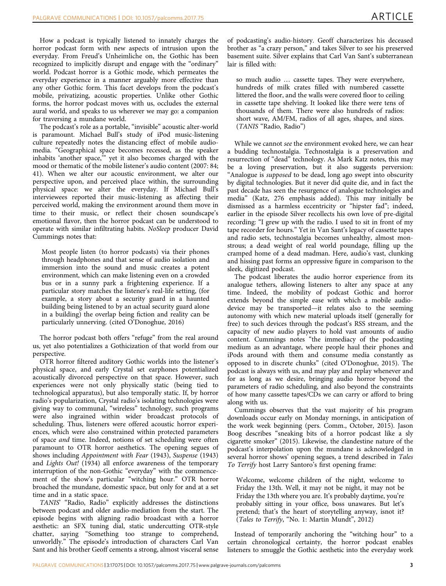How a podcast is typically listened to innately charges the horror podcast form with new aspects of intrusion upon the everyday. From Freud's Unheimliche on, the Gothic has been recognized to implicitly disrupt and engage with the "ordinary" world. Podcast horror is a Gothic mode, which permeates the everyday experience in a manner arguably more effective than any other Gothic form. This facet develops from the podcast's mobile, privatizing, acoustic properties. Unlike other Gothic forms, the horror podcast moves with us, occludes the external aural world, and speaks to us wherever we may go: a companion for traversing a mundane world.

The podcast's role as a portable, "invisible" acoustic alter-world is paramount. Michael Bull's study of iPod music-listening culture repeatedly notes the distancing effect of mobile audiomedia. "Geographical space becomes recessed, as the speaker inhabits 'another space," yet it also becomes charged with the mood or thematic of the mobile listener's audio content (2007: 84; 41). When we alter our acoustic environment, we alter our perspective upon, and perceived place within, the surrounding physical space: we alter the everyday. If Michael Bull's interviewees reported their music-listening as affecting their perceived world, making the environment around them move in time to their music, or reflect their chosen soundscape's emotional flavor, then the horror podcast can be understood to operate with similar infiltrating habits. NoSleep producer David Cummings notes that:

Most people listen (to horror podcasts) via their phones through headphones and that sense of audio isolation and immersion into the sound and music creates a potent environment, which can make listening even on a crowded bus or in a sunny park a frightening experience. If a particular story matches the listener's real-life setting, (for example, a story about a security guard in a haunted building being listened to by an actual security guard alone in a building) the overlap being fiction and reality can be particularly unnerving. (cited O'[Donoghue, 2016\)](#page-8-0)

The horror podcast both offers "refuge" from the real around us, yet also potentializes a Gothicization of that world from our perspective.

OTR horror filtered auditory Gothic worlds into the listener's physical space, and early Crystal set earphones potentialized acoustically divorced perspective on that space. However, such experiences were not only physically static (being tied to technological apparatus), but also temporally static. If, by horror radio's popularization, Crystal radio's isolating technologies were giving way to communal, "wireless" technology, such programs were also ingrained within wider broadcast protocols of scheduling. Thus, listeners were offered acoustic horror experiences, which were also constrained within protected parameters of space and time. Indeed, notions of set scheduling were often paramount to OTR horror aesthetics. The opening segues of shows including Appointment with Fear (1943), Suspense (1943) and Lights Out! (1934) all enforce awareness of the temporary interruption of the non-Gothic "everyday" with the commencement of the show's particular "witching hour." OTR horror broached the mundane, domestic space, but only for and at a set time and in a static space.

TANIS' "Radio, Radio" explicitly addresses the distinctions between podcast and older audio-mediation from the start. The episode begins with aligning radio broadcast with a horror aesthetic: an SFX tuning dial, static undercutting OTR-style chatter, saying "Something too strange to comprehend, unworldly." The episode's introduction of characters Carl Van Sant and his brother Geoff cements a strong, almost visceral sense

of podcasting's audio-history. Geoff characterizes his deceased brother as "a crazy person," and takes Silver to see his preserved basement suite. Silver explains that Carl Van Sant's subterranean lair is filled with:

so much audio … cassette tapes. They were everywhere, hundreds of milk crates filled with numbered cassette littered the floor, and the walls were covered floor to ceiling in cassette tape shelving. It looked like there were tens of thousands of them. There were also hundreds of radios: short wave, AM/FM, radios of all ages, shapes, and sizes. (TANIS "Radio, Radio")

While we cannot see the environment evoked here, we can hear a budding technostalgia. Technostalgia is a preservation and resurrection of "dead" technology. As Mark Katz notes, this may be a loving preservation, but it also suggests perversion: "Analogue is *supposed* to be dead, long ago swept into obscurity by digital technologies. But it never did quite die, and in fact the past decade has seen the resurgence of analogue technologies and media" (Katz, 276 emphasis added). This may initially be dismissed as a harmless eccentricity or "hipster fad"; indeed, earlier in the episode Silver recollects his own love of pre-digital recording: "I grew up with the radio. I used to sit in front of my tape recorder for hours." Yet in Van Sant's legacy of cassette tapes and radio sets, technostalgia becomes unhealthy, almost monstrous; a dead weight of real world poundage, filling up the cramped home of a dead madman. Here, audio's vast, clunking and hissing past forms an oppressive figure in comparison to the sleek, digitized podcast.

The podcast liberates the audio horror experience from its analogue tethers, allowing listeners to alter any space at any time. Indeed, the mobility of podcast Gothic and horror extends beyond the simple ease with which a mobile audiodevice may be transported—it relates also to the seeming autonomy with which new material uploads itself (generally for free) to such devices through the podcast's RSS stream, and the capacity of new audio players to hold vast amounts of audio content. Cummings notes "the immediacy of the podcasting medium as an advantage, where people haul their phones and iPods around with them and consume media constantly as opposed to in discrete chunks" (cited O'[Donoghue, 2015\)](#page-8-0). The podcast is always with us, and may play and replay whenever and for as long as we desire, bringing audio horror beyond the parameters of radio scheduling, and also beyond the constraints of how many cassette tapes/CDs we can carry or afford to bring along with us.

Cummings observes that the vast majority of his program downloads occur early on Monday mornings, in anticipation of the work week beginning (pers. Comm., October, 2015). Jason Boog describes "sneaking bits of a horror podcast like a sly cigarette smoker" ([2015\)](#page-7-0). Likewise, the clandestine nature of the podcast's interpolation upon the mundane is acknowledged in several horror shows' opening segues, a trend described in Tales To Terrify host Larry Santoro's first opening frame:

Welcome, welcome children of the night, welcome to Friday the 13th. Well, it may not be night, it may not be Friday the 13th where you are. It's probably daytime, you're probably sitting in your office, boss unawares. But let's pretend; that's the heart of storytelling anyway, isnot it? (Tales to Terrify, "No. 1: Martin Mundt", 2012)

Instead of temporarily anchoring the "witching hour" to a certain chronological certainty, the horror podcast enables listeners to smuggle the Gothic aesthetic into the everyday work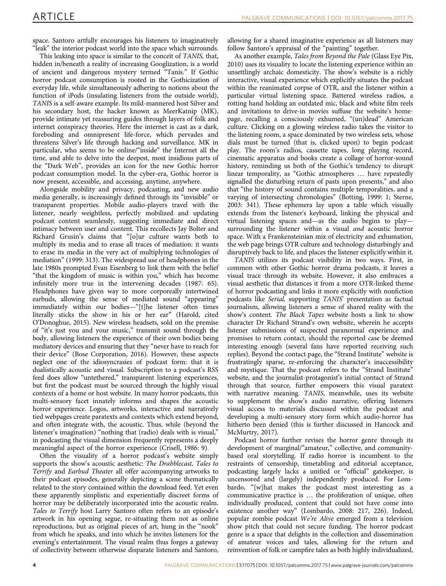space. Santoro artfully encourages his listeners to imaginatively "leak" the interior podcast world into the space which surrounds.

This leaking into space is similar to the conceit of TANIS, that, hidden in/beneath a reality of increasing Googlization, is a world of ancient and dangerous mystery termed "Tanis." If Gothic horror podcast consumption is rooted in the Gothicization of everyday life, while simultaneously adhering to notions about the function of iPods (insulating listeners from the outside world), TANIS is a self-aware example. Its mild-mannered host Silver and his secondary host, the hacker known as MeerKatnip (MK), provide intimate yet reassuring guides through layers of folk and internet conspiracy theories. Here the internet is cast as a dark, foreboding and omnipresent life-force, which pervades and threatens Silver's life through hacking and surveillance. MK in particular, who seems to be online/"inside" the Internet all the time, and able to delve into the deepest, most insidious parts of the "Dark Web", provides an icon for the new Gothic horror podcast consumption model. In the cyber-era, Gothic horror is now present, accessible, and accessing, anytime, anywhere.

Alongside mobility and privacy, podcasting, and new audio media generally, is increasingly defined through its "invisible" or transparent properties. Mobile audio-players travel with the listener, nearly weightless, perfectly mobilized and updating podcast content seamlessly, suggesting immediate and direct intimacy between user and content. This recollects Jay Bolter and Richard Grusin's claims that "[o]ur culture wants both to multiply its media and to erase all traces of mediation: it wants to erase its media in the very act of multiplying technologies of mediation" [\(1999](#page-7-0): 313). The widespread use of headphones in the late 1980s prompted Evan Eisenberg to link them with the belief "that the kingdom of music is within you," which has become infinitely more true in the intervening decades ([1987:](#page-8-0) 65). Headphones have given way to more corporeally intertwined earbuds, allowing the sense of mediated sound "appearing" immediately within our bodies—"[t]he listener often times literally sticks the show in his or her ear" (Harold, cited O'[Donoghue, 2015\)](#page-8-0). New wireless headsets, sold on the premise of "it's just you and your music," transmit sound through the body, allowing listeners the experience of their own bodies being mediatory devices and ensuring that they "never have to reach for their device" ([Bose Corporation, 2016](#page-7-0)). However, these aspects neglect one of the idiosyncrasies of podcast form: that it is dualistically acoustic and visual. Subscription to a podcast's RSS feed does allow "untethered," transparent listening experiences, but first the podcast must be sourced through the highly visual contexts of a home or host website. In many horror podcasts, this multi-sensory facet innately informs and shapes the acoustic horror experience. Logos, artworks, interactive and narratively tied webpages create paratexts and contexts which extend beyond, and often integrate with, the acoustic. Thus, while (beyond the listener's imagination) "nothing that (radio) deals with is visual," in podcasting the visual dimension frequently represents a deeply meaningful aspect of the horror experience [\(Crisell, 1986:](#page-8-0) 9).

Often the visuality of a horror podcast's website simply supports the show's acoustic aesthetic: The Drabblecast, Tales to Terrify and Earbud Theater all offer accompanying artworks to their podcast episodes, generally depicting a scene thematically related to the story contained within the download feed. Yet even these apparently simplistic and experientially discreet forms of horror may be deliberately incorporated into the acoustic realm. Tales to Terrify host Larry Santoro often refers to an episode's artwork in his opening segue, re-situating them not as online reproductions, but as original pieces of art, hung in the "nook" from which he speaks, and into which he invites listeners for the evening's entertainment. The visual realm thus forges a gateway of collectivity between otherwise disparate listeners and Santoro,

allowing for a shared imaginative experience as all listeners may follow Santoro's appraisal of the "painting" together.

As another example, Tales from Beyond the Pale [\(Glass Eye Pix,](#page-8-0) [2010\)](#page-8-0) uses its visuality to locate the listening experience within an unsettlingly archaic domesticity. The show's website is a richly interactive, visual experience which explicitly situates the podcast within the reanimated corpse of OTR, and the listener within a particular virtual listening space. Battered wireless radios, a rotting hand holding an outdated mic, black and white film reels and invitations to drive-in movies suffuse the website's homepage, recalling a consciously exhumed, "(un)dead" American culture. Clicking on a glowing wireless radio takes the visitor to the listening room, a space dominated by two wireless sets, whose dials must be turned (that is, clicked upon) to begin podcast play. The room's radios, cassette tapes, long playing record, cinematic apparatus and books create a collage of horror-sound history, reminding us both of the Gothic's tendency to disrupt linear temporality, as "Gothic atmospheres … have repeatedly signalled the disturbing return of pasts upon presents," and also that "the history of sound contains multiple temporalities, and a varying of intersecting chronologies" ([Botting, 1999](#page-7-0): 1; [Sterne,](#page-8-0) [2003:](#page-8-0) 341). These ephemera lay upon a table which visually extends from the listener's keyboard, linking the physical and virtual listening spaces and—as the audio begins to play surrounding the listener within a visual and acoustic horror space. With a Frankensteinian mix of electricity and exhumation, the web page brings OTR culture and technology disturbingly and disruptively back to life, and places the listener explicitly within it.

TANIS utilizes its podcast visibility in two ways. First, in common with other Gothic horror drama podcasts, it leaves a visual trace through its website. However, it also embraces a visual aesthetic that distances it from a more OTR-linked theme of horror podcasting and links it more explicitly with nonfiction podcasts like Serial, supporting TANIS' presentation as factual journalism, allowing listeners a sense of shared reality with the show's content. The Black Tapes website hosts a link to show character Dr Richard Strand's own website, wherein he accepts listener submissions of suspected paranormal experience and promises to return contact, should the reported case be deemed interesting enough (several fans have reported receiving such replies). Beyond the contact page, the "Strand Institute" website is frustratingly sparse, re-enforcing the character's inaccessibility and mystique. That the podcast refers to the "Strand Institute" website, and the journalist-protagonist's initial contact of Strand through that source, further empowers this visual paratext with narrative meaning. TANIS, meanwhile, uses its website to supplement the show's audio narrative, offering listeners visual access to materials discussed within the podcast and developing a multi-sensory story form which audio-horror has hitherto been denied (this is further discussed in [Hancock and](#page-8-0) [McMurtry, 2017\)](#page-8-0).

Podcast horror further revises the horror genre through its development of marginal/"amateur," collective, and communitybased oral storytelling. If radio horror is incumbent to the restraints of censorship, timetabling and editorial acceptance, podcasting largely lacks a unified or "official" gatekeeper, is uncensored and (largely) independently produced. For Lombardo, "[w]hat makes the podcast most interesting as a communicative practice is … the proliferation of unique, often individually produced, content that could not have come into existence another way" [\(Lombardo, 2008](#page-8-0): 217, 226). Indeed, popular zombie podcast We're Alive emerged from a television show pitch that could not secure funding. The horror podcast genre is a space that delights in the collection and dissemination of amateur voices and tales, allowing for the return and reinvention of folk or campfire tales as both highly individualized,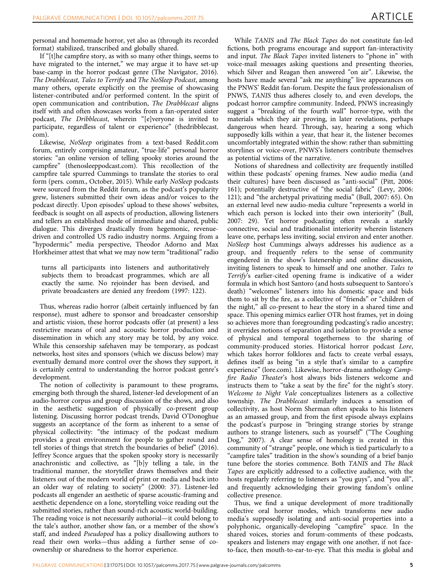personal and homemade horror, yet also as (through its recorded format) stabilized, transcribed and globally shared.

If "[t]he campfire story, as with so many other things, seems to have migrated to the internet," we may argue it to have set-up base-camp in the horror podcast genre ([The Navigator, 2016](#page-8-0)). The Drabblecast, Tales to Terrify and The NoSleep Podcast, among many others, operate explicitly on the premise of showcasing listener-contributed and/or performed content. In the spirit of open communication and contribution, The Drabblecast aligns itself with and often showcases works from a fan-operated sister podcast, The Dribblecast, wherein "[e]veryone is invited to participate, regardless of talent or experience" (thedribblecast. com).

Likewise, NoSleep originates from a text-based Reddit.com forum, entirely comprising amateur, "true-life" personal horror stories: "an online version of telling spooky stories around the campfire" (thenosleeppodcast.com). This recollection of the campfire tale spurred Cummings to translate the stories to oral form (pers. comm., October, 2015). While early NoSleep podcasts were sourced from the Reddit forum, as the podcast's popularity grew, listeners submitted their own ideas and/or voices to the podcast directly. Upon episodes' upload to these shows' websites, feedback is sought on all aspects of production, allowing listeners and tellers an established mode of immediate and shared, public dialogue. This diverges drastically from hegemonic, revenuedriven and controlled US radio industry norms. Arguing from a "hypodermic" media perspective, Theodor Adorno and Max Horkheimer attest that what we may now term "traditional" radio

turns all participants into listeners and authoritatively subjects them to broadcast programmes, which are all exactly the same. No rejoinder has been devised, and private broadcasters are denied any freedom ([1997](#page-7-0): 122).

Thus, whereas radio horror (albeit certainly influenced by fan response), must adhere to sponsor and broadcaster censorship and artistic vision, these horror podcasts offer (at present) a less restrictive means of oral and acoustic horror production and dissemination in which any story may be told, by any voice. While this censorship safehaven may be temporary, as podcast networks, host sites and sponsors (which we discuss below) may eventually demand more control over the shows they support, it is certainly central to understanding the horror podcast genre's development.

The notion of collectivity is paramount to these programs, emerging both through the shared, listener-led development of an audio-horror corpus and group discussion of the shows, and also in the aesthetic suggestion of physically co-present group listening. Discussing horror podcast trends, David O'Donoghue suggests an acceptance of the form as inherent to a sense of physical collectivity: "the intimacy of the podcast medium provides a great environment for people to gather round and tell stories of things that stretch the boundaries of belief" (2016). Jeffrey Sconce argues that the spoken spooky story is necessarily anachronistic and collective, as "[b]y telling a tale, in the traditional manner, the storyteller draws themselves and their listeners out of the modern world of print or media and back into an older way of relating to society" [\(2000:](#page-8-0) 37). Listener-led podcasts all engender an aesthetic of sparse acoustic-framing and aesthetic dependence on a lone, storytelling voice reading out the submitted stories, rather than sound-rich acoustic world-building. The reading voice is not necessarily authorial—it could belong to the tale's author, another show fan, or a member of the show's staff, and indeed Pseudopod has a policy disallowing authors to read their own works—thus adding a further sense of coownership or sharedness to the horror experience.

While TANIS and The Black Tapes do not constitute fan-led fictions, both programs encourage and support fan-interactivity and input. The Black Tapes invited listeners to "phone in" with voice-mail messages asking questions and presenting theories, which Silver and Reagan then answered "on air". Likewise, the hosts have made several "ask me anything" live appearances on the PNWS' Reddit fan-forum. Despite the faux professionalism of PNWS, TANIS thus adheres closely to, and even develops, the podcast horror campfire community. Indeed, PNWS increasingly suggest a "breaking of the fourth wall" horror-type, with the materials which they air proving, in later revelations, perhaps dangerous when heard. Through, say, hearing a song which supposedly kills within a year, that hear it, the listener becomes uncomfortably integrated within the show: rather than submitting storylines or voice-over, PNWS's listeners contribute themselves as potential victims of the narrative.

Notions of sharedness and collectivity are frequently instilled within these podcasts' opening frames. New audio media (and their cultures) have been discussed as "anti-social" ([Pitt, 2006:](#page-8-0) 161); potentially destructive of "the social fabric" [\(Levy, 2006:](#page-8-0) 121); and "the archetypal privatizing media" [\(Bull, 2007](#page-8-0): 65). On an external level new audio-media culture "represents a world in which each person is locked into their own interiority" [\(Bull,](#page-8-0) [2007:](#page-8-0) 29). Yet horror podcasting often reveals a starkly connective, social and traditionalist interiority wherein listeners leave one, perhaps less inviting, social environ and enter another. NoSleep host Cummings always addresses his audience as a group, and frequently refers to the sense of community engendered in the show's listenership and online discussion, inviting listeners to speak to himself and one another. Tales to Terrify's earlier-cited opening frame is indicative of a wider formula in which host Santoro (and hosts subsequent to Santoro's death) "welcomes" listeners into his domestic space and bids them to sit by the fire, as a collective of "friends" or "children of the night," all co-present to hear the story in a shared time and space. This opening mimics earlier OTR host frames, yet in doing so achieves more than foregrounding podcasting's radio ancestry; it overrides notions of separation and isolation to provide a sense of physical and temporal togetherness to the sharing of community-produced stories. Historical horror podcast Lore, which takes horror folklores and facts to create verbal essays, defines itself as being "in a style that's similar to a campfire experience" (lore.com). Likewise, horror-drama anthology Campfire Radio Theater's host always bids listeners welcome and instructs them to "take a seat by the fire" for the night's story. Welcome to Night Vale conceptualizes listeners as a collective township. The Drabblecast similarly induces a sensation of collectivity, as host Norm Sherman often speaks to his listeners as an amassed group, and from the first episode always explains the podcast's purpose in "bringing strange stories by strange authors to strange listeners, such as yourself" ("The Coughing Dog," [2007](#page-8-0)). A clear sense of homology is created in this community of "strange" people, one which is tied particularly to a "campfire tales" tradition in the show's sounding of a brief banjo tune before the stories commence. Both TANIS and The Black Tapes are explicitly addressed to a collective audience, with the hosts regularly referring to listeners as "you guys", and "you all", and frequently acknowledging their growing fandom's online collective presence.

Thus, we find a unique development of more traditionally collective oral horror modes, which transforms new audio media's supposedly isolating and anti-social properties into a polyphonic, organically-developing "campfire" space. In the shared voices, stories and forum-comments of these podcasts, speakers and listeners may engage with one another, if not faceto-face, then mouth-to-ear-to-eye. That this media is global and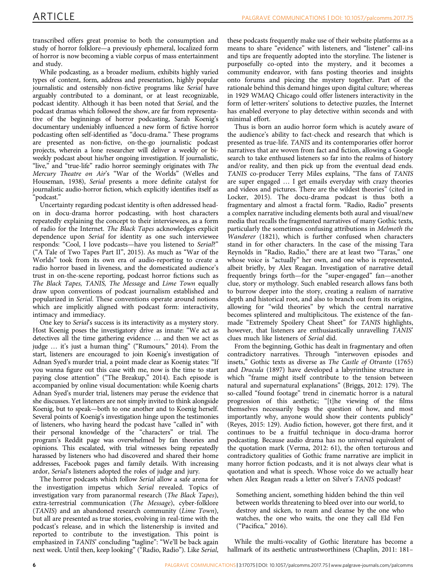transcribed offers great promise to both the consumption and study of horror folklore—a previously ephemeral, localized form of horror is now becoming a viable corpus of mass entertainment and study.

While podcasting, as a broader medium, exhibits highly varied types of content, form, address and presentation, highly popular journalistic and ostensibly non-fictive programs like Serial have arguably contributed to a dominant, or at least recognizable, podcast identity. Although it has been noted that Serial, and the podcast dramas which followed the show, are far from representative of the beginnings of horror podcasting, Sarah Koenig's documentary undeniably influenced a new form of fictive horror podcasting often self-identified as "docu-drama." These programs are presented as non-fictive, on-the-go journalistic podcast projects, wherein a lone researcher will deliver a weekly or biweekly podcast about his/her ongoing investigation. If journalistic, "live," and "true-life" radio horror seemingly originates with The Mercury Theatre on Air's "War of the Worlds" [\(Welles and](#page-8-0) [Houseman, 1938](#page-8-0)), Serial presents a more definite catalyst for journalistic audio-horror fiction, which explicitly identifies itself as "podcast."

Uncertainty regarding podcast identity is often addressed headon in docu-drama horror podcasting, with host characters repeatedly explaining the concept to their interviewees, as a form of radio for the Internet. The Black Tapes acknowledges explicit dependence upon Serial for identity as one such interviewee responds: "Cool, I love podcasts—have you listened to Serial?" ("A Tale of Two Tapes Part II", 2015). As much as "War of the Worlds" took from its own era of audio-reporting to create a radio horror based in liveness, and the domesticated audience's trust in on-the-scene reporting, podcast horror fictions such as The Black Tapes, TANIS, The Message and Lime Town equally draw upon conventions of podcast journalism established and popularized in Serial. These conventions operate around notions which are implicitly aligned with podcast form: interactivity, intimacy and immediacy.

One key to Serial's success is its interactivity as a mystery story. Host Koenig poses the investigatory drive as innate: "We act as detectives all the time gathering evidence … and then we act as judge … it's just a human thing" ("Rumours," 2014). From the start, listeners are encouraged to join Koenig's investigation of Adnan Syed's murder trial, a point made clear as Koenig states: "If you wanna figure out this case with me, now is the time to start paying close attention" ("The Breakup," 2014). Each episode is accompanied by online visual documentation: while Koenig charts Adnan Syed's murder trial, listeners may peruse the evidence that she discusses. Yet listeners are not simply invited to think alongside Koenig, but to speak—both to one another and to Koenig herself. Several points of Koenig's investigation hinge upon the testimonies of listeners, who having heard the podcast have "called in" with their personal knowledge of the "characters" or trial. The program's Reddit page was overwhelmed by fan theories and opinions. This escalated, with trial witnesses being repeatedly harassed by listeners who had discovered and shared their home addresses, Facebook pages and family details. With increasing ardor, Serial's listeners adopted the roles of judge and jury.

The horror podcasts which follow Serial allow a safe arena for the investigation impetus which Serial revealed. Topics of investigation vary from paranormal research (The Black Tapes), extra-terrestrial communication (The Message), cyber-folklore (TANIS) and an abandoned research community (Lime Town), but all are presented as true stories, evolving in real-time with the podcast's release, and in which the listenership is invited and reported to contribute to the investigation. This point is emphasized in TANIS' concluding "tagline": "We'll be back again next week. Until then, keep looking" ("Radio, Radio"). Like Serial, these podcasts frequently make use of their website platforms as a means to share "evidence" with listeners, and "listener" call-ins and tips are frequently adopted into the storyline. The listener is purposefully co-opted into the mystery, and it becomes a community endeavor, with fans posting theories and insights onto forums and piecing the mystery together. Part of the rationale behind this demand hinges upon digital culture; whereas in 1929 WMAQ Chicago could offer listeners interactivity in the form of letter-writers' solutions to detective puzzles, the Internet has enabled everyone to play detective within seconds and with minimal effort.

Thus is born an audio horror form which is acutely aware of the audience's ability to fact-check and research that which is presented as true-life. TANIS and its contemporaries offer horror narratives that are woven from fact and fiction, allowing a Google search to take enthused listeners so far into the realms of history and/or reality, and then pick up from the eventual dead ends. TANIS co-producer Terry Miles explains, "The fans of TANIS are super engaged … I get emails everyday with crazy theories and videos and pictures. There are the wildest theories" (cited in Locker, 2015). The docu-drama podcast is thus both a fragmentary and almost a fractal form. "Radio, Radio" presents a complex narrative including elements both aural and visual/new media that recalls the fragmented narratives of many Gothic texts, particularly the sometimes confusing attributions in Melmoth the Wanderer (1821), which is further confused when characters stand in for other characters. In the case of the missing Tara Reynolds in "Radio, Radio," there are at least two "Taras," one whose voice is "actually" her own, and one who is represented, albeit briefly, by Alex Reagan. Investigation of narrative detail frequently brings forth—for the "super-engaged" fan—another clue, story or mythology. Such enabled research allows fans both to burrow deeper into the story, creating a realism of narrative depth and historical root, and also to branch out from its origins, allowing for "wild theories" by which the central narrative becomes splintered and multiplicitous. The existence of the fanmade "Extremely Spoilery Cheat Sheet" for TANIS highlights, however, that listeners are enthusiastically unravelling TANIS' clues much like listeners of Serial did.

From the beginning, Gothic has dealt in fragmentary and often contradictory narratives. Through "interwoven episodes and insets," Gothic texts as diverse as The Castle of Otranto (1765) and Dracula (1897) have developed a labyrinthine structure in which "frame might itself contribute to the tension between natural and supernatural explanations" [\(Briggs, 2012:](#page-7-0) 179). The so-called "found footage" trend in cinematic horror is a natural progression of this aesthetic; "[t]he viewing of the films themselves necessarily begs the question of how, and most importantly why, anyone would show their contents publicly" ([Reyes, 2015:](#page-8-0) 129). Audio fiction, however, got there first, and it continues to be a fruitful technique in docu-drama horror podcasting. Because audio drama has no universal equivalent of the quotation mark [\(Verma, 2012](#page-8-0): 61), the often torturous and contradictory qualities of Gothic frame narrative are implicit in many horror fiction podcasts, and it is not always clear what is quotation and what is speech. Whose voice do we actually hear when Alex Reagan reads a letter on Silver's TANIS podcast?

Something ancient, something hidden behind the thin veil between worlds threatening to bleed over into our world, to destroy and sicken, to ream and cleanse by the one who watches, the one who waits, the one they call Eld Fen ("Pacifica," 2016).

While the multi-vocality of Gothic literature has become a hallmark of its aesthetic untrustworthiness [\(Chaplin, 2011:](#page-8-0) 181–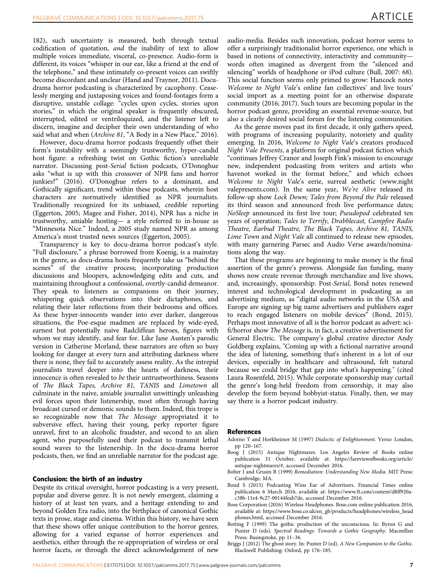<span id="page-7-0"></span>182), such uncertainty is measured, both through textual codification of quotation, and the inability of text to allow multiple voices immediate, visceral, co-presence. Audio-form is different, its voices "whisper in our ear, like a friend at the end of the telephone," and these intimately co-present voices can swiftly become discordant and unclear ([Hand and Traynor, 2011](#page-8-0)). Docudrama horror podcasting is characterized by cacophony. Ceaselessly merging and juxtaposing voices and found-footages form a disruptive, unstable collage: "cycles upon cycles, stories upon stories," in which the original speaker is frequently obscured, interrupted, edited or ventriloquized, and the listener left to discern, imagine and decipher their own understanding of who said what and when (Archive 81, "A Body in a New Place," 2016).

However, docu-drama horror podcasts frequently offset their form's instability with a seemingly trustworthy, hyper-candid host figure: a refreshing twist on Gothic fiction's unreliable narrator. Discussing post-Serial fiction podcasts, O'Donoghue asks "what is up with this crossover of NPR fans and horror junkies?" (2016). O'Donoghue refers to a dominant, and Gothically significant, trend within these podcasts, wherein host characters are normatively identified as NPR journalists. Traditionally recognized for its unbiased, credible reporting ([Eggerton, 2005; Magee and Fisher, 2014](#page-8-0)), NPR has a niche in trustworthy, amiable hosting— a style referred to in-house as "Minnesota Nice." Indeed, a 2005 study named NPR as among America's most trusted news sources [\(Eggerton, 2005\)](#page-8-0).

Transparency is key to docu-drama horror podcast's style. "Full disclosure," a phrase borrowed from Koenig, is a mainstay in the genre, as docu-drama hosts frequently take us "behind the scenes" of the creative process; incorporating production discussions and bloopers, acknowledging edits and cuts, and maintaining throughout a confessional, overtly-candid demeanor. They speak to listeners as companions on their journey, whispering quick observations into their dictaphones, and relating their later reflections from their bedrooms and offices. As these hyper-innocents wander into ever darker, dangerous situations, the Poe-esque madmen are replaced by wide-eyed, earnest but potentially naive Radcliffean heroes, figures with whom we may identify, and fear for. Like Jane Austen's parodic version in Catherine Morland, these narrators are often so busy looking for danger at every turn and attributing darkness where there is none, they fail to accurately assess reality. As the intrepid journalists travel deeper into the hearts of darkness, their innocence is often revealed to be their untrustworthiness. Seasons of The Black Tapes, Archive 81, TANIS and Limetown all culminate in the naive, amiable journalist unwittingly unleashing evil forces upon their listenership, most often through having broadcast cursed or demonic sounds to them. Indeed, this trope is so recognizable now that The Message appropriated it to subversive effect, having their young, perky reporter figure unravel, first to an alcoholic fraudster, and second to an alien agent, who purposefully used their podcast to transmit lethal sound waves to the listenership. In the docu-drama horror podcasts, then, we find an unreliable narrator for the podcast age.

#### Conclusion: the birth of an industry

Despite its critical oversight, horror podcasting is a very present, popular and diverse genre. It is not newly emergent, claiming a history of at least ten years, and a heritage extending to and beyond Golden Era radio, into the birthplace of canonical Gothic texts in prose, stage and cinema. Within this history, we have seen that these shows offer unique contribution to the horror genres, allowing for a varied expanse of horror experiences and aesthetics, either through the re-appropriation of wireless or oral horror facets, or through the direct acknowledgement of new

audio-media. Besides such innovation, podcast horror seems to offer a surprisingly traditionalist horror experience, one which is based in notions of connectivity, interactivity and community words often imagined as divergent from the "silenced and silencing" worlds of headphone or iPod culture [\(Bull, 2007:](#page-8-0) 68). This social function seems only primed to grow: Hancock notes Welcome to Night Vale's online fan collectives' and live tours' social import as a meeting point for an otherwise disparate community (2016; [2017\)](#page-8-0). Such tours are becoming popular in the horror podcast genre, providing an essential revenue-source, but also a clearly desired social forum for the listening communities.

As the genre moves past its first decade, it only gathers speed, with programs of increasing popularity, notoriety and quality emerging. In 2016, Welcome to Night Vale's creators produced Night Vale Presents, a platform for original podcast fiction which "continues Jeffrey Cranor and Joseph Fink's mission to encourage new, independent podcasting from writers and artists who havenot worked in the format before," and which echoes Welcome to Night Vale's eerie, surreal aesthetic ([www.night](www.nightvalepresents.com) [valepresents.com\)](www.nightvalepresents.com). In the same year, We're Alive released its follow-up show Lock Down; Tales from Beyond the Pale released its third season and announced fresh live performance dates; NoSleep announced its first live tour; Pseudopod celebrated ten years of operation; Tales to Terrify, Drabblecast, Campfire Radio Theatre, Earbud Theatre, The Black Tapes, Archive 81, TANIS, Lime Town and Night Vale all continued to release new episodes, with many garnering Parsec and Audio Verse awards/nominations along the way.

That these programs are beginning to make money is the final assertion of the genre's prowess. Alongside fan funding, many shows now create revenue through merchandize and live shows, and, increasingly, sponsorship. Post-Serial, Bond notes renewed interest and technological development in podcasting as an advertising medium, as "digital audio networks in the USA and Europe are signing up big name advertisers and publishers eager to reach engaged listeners on mobile devices" (Bond, 2015). Perhaps most innovative of all is the horror podcast as advert: scifi/horror show The Message is, in fact, a creative advertisement for General Electric. The company's global creative director Andy Goldberg explains, "Coming up with a fictional narrative around the idea of listening, something that's inherent in a lot of our devices, especially in healthcare and ultrasound, felt natural because we could bridge that gap into what's happening." (cited Laura [Rosenfeld, 2015\)](#page-8-0). While corporate sponsorship may curtail the genre's long-held freedom from censorship, it may also develop the form beyond hobbyist-status. Finally, then, we may say there is a horror podcast industry.

#### References

- Adorno T and Horkheimer M (1997) Dialectic of Enlightenment. Verso: London, pp 120–167.
- Boog J (2015) Antique Nightmares. Los Angeles Review of Books online publication 31 October, available at: [https://lareviewofbooks.org/article/](https://lareviewofbooks.org/article/antique-nightmares/#) [antique-nightmares/#](https://lareviewofbooks.org/article/antique-nightmares/#), accessed December 2016.
- Bolter J and Grusin R (1999) Remediation: Understanding New Media. MIT Press: Cambridge, MA.
- Bond S (2015) Podcasting Wins Ear of Advertisers. Financial Times online publication 6 March 2016, available at: [https://www.ft.com/content/d8ff920a](https://www.ft.com/content/d8ff920a-c38b-11e4-9c27-00144feab7de)[c38b-11e4-9c27-00144feab7de](https://www.ft.com/content/d8ff920a-c38b-11e4-9c27-00144feab7de), accessed December 2016.
- Bose Corporation (2016) Wireless Headphones. Bose.com online publication 2016, available at: [https://www.bose.co.uk/en\\_gb/products/headphones/wireless\\_head](https://www.bose.co.uk/en_gb/products/headphones/wireless_headphones.html) [phones.html,](https://www.bose.co.uk/en_gb/products/headphones/wireless_headphones.html) accessed December 2016.
- Botting F (1999) The gothic production of the unconscious. In: Byron G and Punter D (eds). Spectral Readings: Towards a Gothic Geography. Macmillan Press: Basingstoke, pp 11–36.
- Briggs J (2012) The ghost story. In: Punter D (ed). A New Companion to the Gothic. Blackwell Publishing: Oxford, pp 176–185.